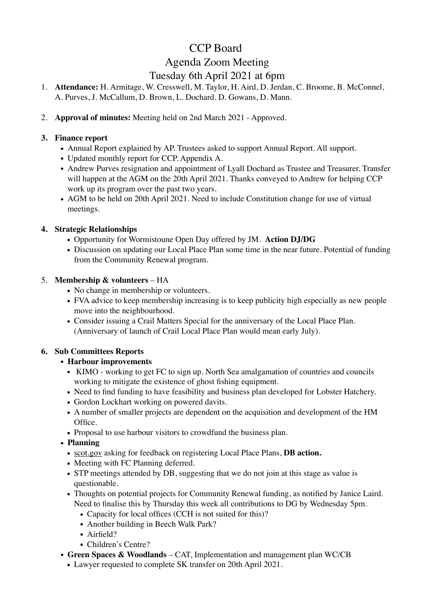# CCP Board

## Agenda Zoom Meeting Tuesday 6th April 2021 at 6pm

- 1. **Attendance:** H. Armitage, W. Cresswell, M. Taylor, H. Aird, D. Jerdan, C. Broome, B. McConnel, A. Purves, J. McCallum, D. Brown, L. Dochard. D. Gowans, D. Mann.
- 2. **Approval of minutes:** Meeting held on 2nd March 2021 Approved.

#### **3. Finance report**

- Annual Report explained by AP. Trustees asked to support Annual Report. All support.
- Updated monthly report for CCP. Appendix A.
- Andrew Purves resignation and appointment of Lyall Dochard as Trustee and Treasurer. Transfer will happen at the AGM on the 20th April 2021. Thanks conveyed to Andrew for helping CCP work up its program over the past two years.
- AGM to be held on 20th April 2021. Need to include Constitution change for use of virtual meetings.

#### **4. Strategic Relationships**

- Opportunity for Wormistoune Open Day offered by JM. **Action DJ/DG**
- Discussion on updating our Local Place Plan some time in the near future. Potential of funding from the Community Renewal program.

#### 5. **Membership & volunteers** – HA

- No change in membership or volunteers.
- FVA advice to keep membership increasing is to keep publicity high especially as new people move into the neighbourhood.
- Consider issuing a Crail Matters Special for the anniversary of the Local Place Plan. (Anniversary of launch of Crail Local Place Plan would mean early July).

### **6. Sub Committees Reports**

#### **• Harbour improvements**

- KIMO working to get FC to sign up. North Sea amalgamation of countries and councils working to mitigate the existence of ghost fishing equipment.
- Need to find funding to have feasibility and business plan developed for Lobster Hatchery.
- Gordon Lockhart working on powered davits.
- A number of smaller projects are dependent on the acquisition and development of the HM Office.
- Proposal to use harbour visitors to crowdfund the business plan.

#### **• Planning**

- [scot.gov](http://scot.gov) asking for feedback on registering Local Place Plans, **DB action.**
- Meeting with FC Planning deferred.
- STP meetings attended by DB, suggesting that we do not join at this stage as value is questionable.
- Thoughts on potential projects for Community Renewal funding, as notified by Janice Laird. Need to finalise this by Thursday this week all contributions to DG by Wednesday 5pm.
	- Capacity for local offices (CCH is not suited for this)?
	- Another building in Beech Walk Park?
	- Airfield?
	- Children's Centre?
- **Green Spaces & Woodlands** CAT, Implementation and management plan WC/CB
	- Lawyer requested to complete SK transfer on 20th April 2021.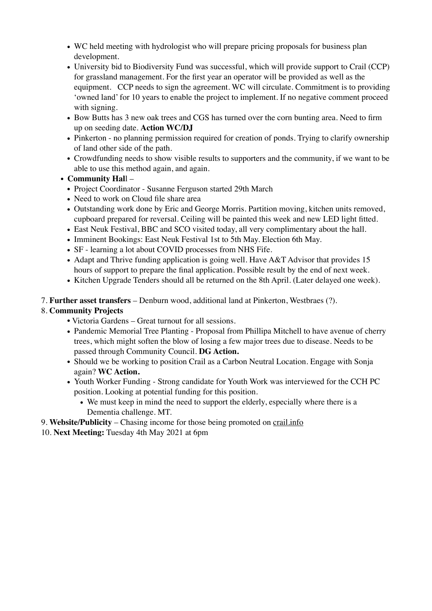- WC held meeting with hydrologist who will prepare pricing proposals for business plan development.
- University bid to Biodiversity Fund was successful, which will provide support to Crail (CCP) for grassland management. For the first year an operator will be provided as well as the equipment. CCP needs to sign the agreement. WC will circulate. Commitment is to providing 'owned land' for 10 years to enable the project to implement. If no negative comment proceed with signing.
- Bow Butts has 3 new oak trees and CGS has turned over the corn bunting area. Need to firm up on seeding date. **Action WC/DJ**
- Pinkerton no planning permission required for creation of ponds. Trying to clarify ownership of land other side of the path.
- Crowdfunding needs to show visible results to supporters and the community, if we want to be able to use this method again, and again.
- **Community Hal**l
	- Project Coordinator Susanne Ferguson started 29th March
	- Need to work on Cloud file share area
	- Outstanding work done by Eric and George Morris. Partition moving, kitchen units removed, cupboard prepared for reversal. Ceiling will be painted this week and new LED light fitted.
	- East Neuk Festival, BBC and SCO visited today, all very complimentary about the hall.
	- Imminent Bookings: East Neuk Festival 1st to 5th May. Election 6th May.
	- SF learning a lot about COVID processes from NHS Fife.
	- Adapt and Thrive funding application is going well. Have A&T Advisor that provides 15 hours of support to prepare the final application. Possible result by the end of next week.
	- Kitchen Upgrade Tenders should all be returned on the 8th April. (Later delayed one week).

#### 7. **Further asset transfers** – Denburn wood, additional land at Pinkerton, Westbraes (?).

#### 8. **Community Projects**

- Victoria Gardens Great turnout for all sessions.
- Pandemic Memorial Tree Planting Proposal from Phillipa Mitchell to have avenue of cherry trees, which might soften the blow of losing a few major trees due to disease. Needs to be passed through Community Council. **DG Action.**
- Should we be working to position Crail as a Carbon Neutral Location. Engage with Sonja again? **WC Action.**
- Youth Worker Funding Strong candidate for Youth Work was interviewed for the CCH PC position. Looking at potential funding for this position.
	- We must keep in mind the need to support the elderly, especially where there is a Dementia challenge. MT.
- 9. **Website/Publicity** Chasing income for those being promoted on [crail.info](http://crail.info)
- 10. **Next Meeting:** Tuesday 4th May 2021 at 6pm